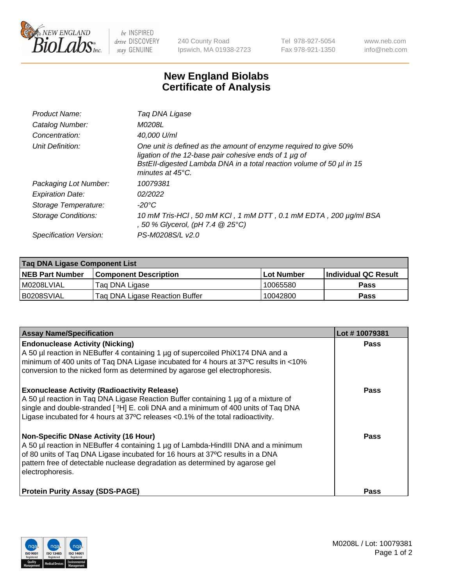

 $be$  INSPIRED drive DISCOVERY stay GENUINE

240 County Road Ipswich, MA 01938-2723 Tel 978-927-5054 Fax 978-921-1350 www.neb.com info@neb.com

## **New England Biolabs Certificate of Analysis**

| Product Name:              | Taq DNA Ligase                                                                                                                                                                                                                  |
|----------------------------|---------------------------------------------------------------------------------------------------------------------------------------------------------------------------------------------------------------------------------|
| Catalog Number:            | M0208L                                                                                                                                                                                                                          |
| Concentration:             | 40,000 U/ml                                                                                                                                                                                                                     |
| Unit Definition:           | One unit is defined as the amount of enzyme required to give 50%<br>ligation of the 12-base pair cohesive ends of 1 µg of<br>BstEll-digested Lambda DNA in a total reaction volume of 50 µl in 15<br>minutes at $45^{\circ}$ C. |
| Packaging Lot Number:      | 10079381                                                                                                                                                                                                                        |
| <b>Expiration Date:</b>    | 02/2022                                                                                                                                                                                                                         |
| Storage Temperature:       | $-20^{\circ}$ C                                                                                                                                                                                                                 |
| <b>Storage Conditions:</b> | 10 mM Tris-HCl, 50 mM KCl, 1 mM DTT, 0.1 mM EDTA, 200 µg/ml BSA<br>, 50 % Glycerol, (pH 7.4 @ 25°C)                                                                                                                             |
| Specification Version:     | PS-M0208S/L v2.0                                                                                                                                                                                                                |

| Taq DNA Ligase Component List |                                |                   |                      |  |
|-------------------------------|--------------------------------|-------------------|----------------------|--|
| <b>NEB Part Number</b>        | <b>Component Description</b>   | <b>Lot Number</b> | Individual QC Result |  |
| M0208LVIAL                    | Tag DNA Ligase                 | 10065580          | <b>Pass</b>          |  |
| B0208SVIAL                    | Taq DNA Ligase Reaction Buffer | 10042800          | Pass                 |  |

| <b>Assay Name/Specification</b>                                                                                                                                                                                                                                                                                         | Lot #10079381 |
|-------------------------------------------------------------------------------------------------------------------------------------------------------------------------------------------------------------------------------------------------------------------------------------------------------------------------|---------------|
| <b>Endonuclease Activity (Nicking)</b><br>A 50 µl reaction in NEBuffer 4 containing 1 µg of supercoiled PhiX174 DNA and a<br>minimum of 400 units of Taq DNA Ligase incubated for 4 hours at 37°C results in <10%<br>conversion to the nicked form as determined by agarose gel electrophoresis.                        | <b>Pass</b>   |
| <b>Exonuclease Activity (Radioactivity Release)</b><br>A 50 µl reaction in Taq DNA Ligase Reaction Buffer containing 1 µg of a mixture of<br>single and double-stranded [3H] E. coli DNA and a minimum of 400 units of Taq DNA<br>Ligase incubated for 4 hours at 37°C releases <0.1% of the total radioactivity.       | <b>Pass</b>   |
| <b>Non-Specific DNase Activity (16 Hour)</b><br>A 50 µl reaction in NEBuffer 4 containing 1 µg of Lambda-HindIII DNA and a minimum<br>of 80 units of Taq DNA Ligase incubated for 16 hours at 37°C results in a DNA<br>pattern free of detectable nuclease degradation as determined by agarose gel<br>electrophoresis. | <b>Pass</b>   |
| <b>Protein Purity Assay (SDS-PAGE)</b>                                                                                                                                                                                                                                                                                  | <b>Pass</b>   |